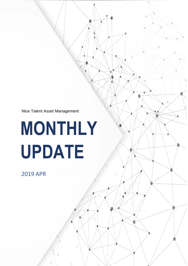Nice Talent Asset Management

# **MONTHLY UPDATE**

 $\mathcal{N}$  asset Management  $\mathcal{N}$  asset Management  $\mathcal{N}$ 

# 2019 APR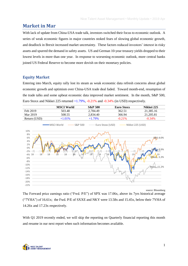# **Market in Mar**

With lack of update from China-USA trade talk, investors switched their focus to economic outlook. A series of weak economic figures in major countries stoked fears of slowing global economic growth, and deadlock in Brexit increased market uncertainty. These factors reduced investors' interest in risky assets and spurred the demand in safety assets. US and German 10-year treasury yields dropped to their lowest levels in more than one year. In response to worsening economic outlook, more central banks joined US Federal Reserve to become more dovish on their monetary policies.

# **Equity Market**

Entering into March, equity rally lost its steam as weak economic data refresh concerns about global economic growth and optimism over China-USA trade deal faded. Toward month-end, resumption of the trade talks and some upbeat economic data improved market sentiment. In the month, S&P 500, Euro Stoxx and Nikkei 225 returned +1.79%, -0.21% and -0.34% (in USD) respectively.



source: Bloomberg

The Forward price earnings ratio ("Fwd. P/E") of SPX was 17.06x, above its 7yrs historical average ("7YHA") of 16.61x; the Fwd. P/E of SXXE and NKY were 13.58x and 15.45x, below their 7YHA of 14.26x and 17.23x respectively.

With Q1 2019 recently ended, we will skip the reporting on Quarterly financial reporting this month and resume in our next report when such information becomes available.

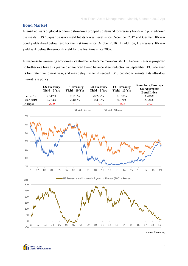# **Bond Market**

Intensified fears of global economic slowdown propped up demand for treasury bonds and pushed down the yields. US 10-year treasury yield hit its lowest level since December 2017 and German 10-year bond yields dived below zero for the first time since October 2016. In addition, US treasury 10-year yield sank below three-month yield for the first time since 2007.

In response to worsening economies, central banks became more dovish. US Federal Reserve projected no further rate hike this year and announced to end balance sheet reduction in September. ECB delayed its first rate hike to next year, and may delay further if needed. BOJ decided to maintain its ultra-low interest rate policy.

|                | <b>US</b> Treasury<br>Yield - 5 Yrs | <b>US</b> Treasury<br>Yield - 10 Yrs | <b>EU</b> Treasury<br>Yield - 5 Yrs | <b>EU Treasury</b><br>Yield - 10 Yrs | <b>Bloomberg Barclays</b><br><b>US Aggregate</b><br><b>Bond Index</b> |
|----------------|-------------------------------------|--------------------------------------|-------------------------------------|--------------------------------------|-----------------------------------------------------------------------|
| Feb 2019       | 2.512\%                             | 2.715\%                              | $-0.277\%$                          | 0.183%                               | 3.206%                                                                |
| Mar 2019       | 2.233%                              | 2.405%                               | $-0.450\%$                          | $-0.070\%$                           | 2.934%                                                                |
| $\Delta$ (bps) | $-27.9$                             | $-31.0$                              | $-17.3$                             | $-25.3$                              | $-27.2$                                                               |



source: Bloomberg

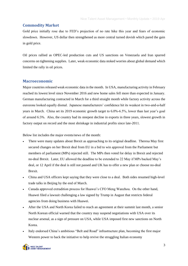# **Commodity Market**

Gold price initially rose due to FED's projection of no rate hike this year and fears of economic slowdown. However, US dollar then strengthened as more central turned dovish which pared the gain in gold price.

Oil prices rallied as OPEC-led production cuts and US sanctions on Venezuela and Iran spurred concerns on tightening supplies. Later, weak economic data stoked worries about global demand which limited the rally in oil prices.

### **Macroeconomic**

Major countries released weak economic data in the month. In USA, manufacturing activity in February reached its lowest level since November 2016 and new home sales fell more than expected in January. German manufacturing contracted in March for a third straight month while factory activity across the eurozone looked equally dismal. Japanese manufacturers' confidence hit its weakest in two-and-a-half years in March. China set its 2019 economic growth target to 6.0%-6.5%, lower than last year's goal of around 6.5%. Also, the country had its steepest decline in exports in three years, slowest growth in factory output on record and the most shrinkage in industrial profits since late-2011.

Below list includes the major events/news of the month:

- There were many updates about Brexit as approaching to its original deadline. Theresa May first secured changes on her Brexit deal from EU in a bid to win approval from the Parliament but members of parliament (MPs) rejected still. The MPs then voted for delay in Brexit and rejected no-deal Brexit. Later, EU allowed the deadline to be extended to 22 May if MPs backed May's deal, or 12 April if the deal is still not passed and UK has to offer a new plan or choose no-deal Brexit.
- China and USA officers kept saying that they were close to a deal. Both sides resumed high-level trade talks in Beijing by the end of March.
- Canada approved extradition process for Huawei's CFO Meng Wanzhou. On the other hand, Huawei filed a lawsuit challenging a law signed by Trump in August that restricts federal agencies from doing business with Huawei.
- After the USA and North Korea failed to reach an agreement at their summit last month, a senior North Korean official warned that the country may suspend negotiations with USA over its nuclear arsenal, as a sign of pressure on USA, while USA imposed first new sanctions on North Korea.
- Italy endorsed China's ambitious "Belt and Road" infrastructure plan, becoming the first major Western power to back the initiative to help revive the struggling Italian economy

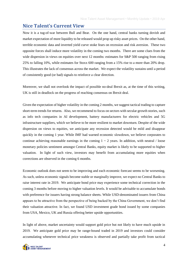# **Nice Talent's Current View**

Now it is a tug-of-war between Bull and Bear. On the one hand, central banks turning dovish and market expectation of more liquidity to be released would prop up risky asset prices. On the other hand, terrible economic data and inverted yield curve stoke fears on recession and risk aversion. These two opposite forces shall induce more volatility in the coming two months. There are some clues from the wide dispersion in views on equities over next 12 months: estimates for S&P 500 ranging from rising 25% to falling 10%, while estimates for Stoxx 600 ranging from a 15% rise to a more than 20% drop. This illustrates the lack of consensus across the market. We expect the volatility sustains until a period of consistently good (or bad) signals to reinforce a clear direction.

Moreover, we shall not overlook the impact of possible no-deal Brexit as, at the time of this writing, UK is still in deadlock on the progress of reaching consensus on Brexit deal.

Given the expectation of higher volatility in the coming 2 months, we suggest tactical trading to capture short-term trends for returns. Also, we recommend to focus on sectors with secular growth stories, such as info tech companies in AI development, battery manufacturers for electric vehicles and 5G infrastructure suppliers, which we believe to be more resilient to market downturn. Despite of the wide dispersion on views to equities, we anticipate any recession detected would be mild and disappear quickly in the coming 1 year. While IMF had warned economic slowdown, we believe corporates to continue achieving reasonable earnings in the coming  $1 \sim 2$  years. In addition, with neutral / loose monetary policies sentiment amongst Central Banks, equity market is likely to be supported to higher valuation. In light of such view, investors may benefit from accumulating more equities when corrections are observed in the coming 6 months.

Economic outlook does not seem to be improving and each economic forecast seems to be worsening. As such, unless economic signals become stable or marginally improve, we expect no Central Banks to raise interest rate in 2019. We anticipate bond price may experience some technical correction in the coming 3 months before moving to higher valuation levels. It would be advisable to accumulate bonds with preference for issuers having strong balance sheets. While USD-denominated issuers from China appears to be attractive from the perspective of being backed by the China Government, we don't find their valuation attractive. In fact, we found USD investment grade bond issued by some companies from USA, Mexico, UK and Russia offering better upside opportunities.

In light of above, market uncertainty would support gold price but not likely to have much upside in 2019. We anticipate gold price may be range-bound traded in 2019 and investors could consider accumulating whenever technical price weakness is observed and partially take profit from tactical

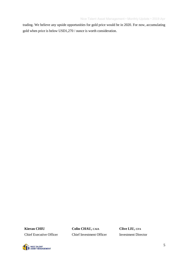trading. We believe any upside opportunities for gold price would be in 2020. For now, accumulating gold when price is below USD1,270 / ounce is worth consideration.

**Kieran CHIU Colin CHAU, CAIA Clive LIU, CFA** Chief Executive Officer Chief Investment Officer Investment Director

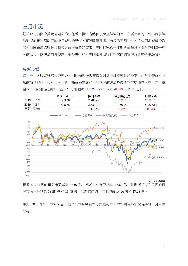# 三月市況

鑑於缺乏有關中美貿易磋商的新報導,投資者轉移視線至經濟前景。主要國家的一連串疲弱經 濟數據激起對環球經濟增長減速的恐慌,而脫歐僵局增加市場的不穩定性。這些因素減低投資 者對風險資產的興趣及刺激對避險資產的需求。美國和德國十年期國債孳息率跌至它們逾一年 多的低位。應經濟前景轉差,更多央行加入美國聯儲局行列將它們的貨幣政策變得更鴿派。

# 股票市場

進入三月,股票升勢失去動力,因疲弱經濟數據恢復對環球經濟增長的憂慮,而對中美貿易協 議的憧憬退卻。接近月尾,新一輪貿易磋商和一些向好的經濟數據改善市場情緒。於月內,標 普 500、歐洲斯托克和日經 225 分別回報+1.79%、-0.21% 和 -0.34%(以美元計)。

|         | <b>MSCI World</b> | 標普 500    | 歐洲斯托克     | 日經 225    |
|---------|-------------------|-----------|-----------|-----------|
| 2019年2月 | 503.48            | 2.784.49  | 362.51    | 21.385.16 |
| 2019年3月 | 508.55            | 2.834.40  | 366.94    | 21.205.81 |
| 回報 (美元) | $+1.01\%$         | $+1.79\%$ | $-0.21\%$ | $-0.34\%$ |



來源: Bloomberg

標普 500 指數的預測市盈率為 17.06 倍,高於其七年平均值 16.61 倍;歐洲斯托克和日經的預 測市盈率分別為 13.58倍和 15.45倍,低於它們的七年平均值 14.26倍和 17.23倍。

由於 2019 年第一季剛完結,我們於本月剔除季度財務報告,當相關資料出爐時將於下月回復 報導。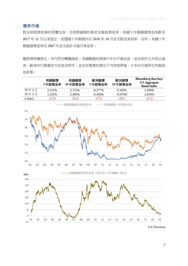# 債券市場

對全球經濟放慢的恐懼加深,支持對國債的需求及推低孳息率。美國十年期國債孳息率跌至 2017年12月以來低位,而德國十年期債亦自 2016年10月首次跌至負利率。另外,美國十年 期國債孳息率自 2007 年首次低於 3 個月孳息率。

應經濟持續惡化,央行們亦轉趨鴿派。美國聯儲局預測今年內不會加息,並宣佈於九月終止縮 表。歐洲央行推遲首次加息至明年,並在有需要的情況下可再度押後。日本央行維持它的超低 息政策。



來源: Bloomberg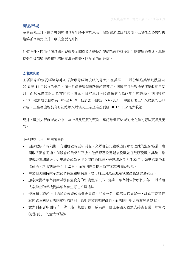### 商品市場

金價首先上升,由於聯儲局預測今年將不會加息及市場對經濟放緩的恐慌,但隨後因各央行轉 趨鴿派令美元上升,削去金價的升幅。

油價上升,因油組所領導的減產及美國對委內瑞拉和伊朗的制裁刺激對供應緊縮的憂慮。其後, 疲弱的經濟數據激起對環球需求的擔憂,限制油價的升幅。

### 宏觀經濟

主要國家的疲弱經濟數據加深對環球經濟放緩的恐慌。在美國,二月份製造業活動跌至自 2016 年 11 月以來的低位,而一月份新屋銷售跌幅超過預期。德國三月份製造業連續收縮三個 月,而歐元區工廠活動亦同樣不景氣。日本三月份製造商信心為兩年半來最弱。中國設定 2019年經濟增長目標為 6.0%至 6.5%,低於去年目標 6.5%。此外,中國有著三年來最急的出口 跌幅、工廠產出增長為有紀錄以來最慢及工業企業盈利創 2011 年以來最大收縮。

另外,歐洲央行削減對未來三年增長及通脹的預測,承認歐洲經濟減速比之前的想法更長及更 深。

下列句括上月一些主要事件:

- 因接近原本的限期,有關脫歐的更新湧現。文翠珊首先獲歐盟同意修改她的退歐協議,意 圖取得國會通過,但議會成員仍然否決。他們跟著投選延後脫歐並拒絶硬脫歐。其後,歐 盟容許限期延後:如果議會成員支持文翠珊的協議,新限期會是 5 月 22 日;如果協議仍未 能通過,新限期會是 4 月 12 日,而英國需要提出新方案或選擇硬脫歐。
- 中國和美國持續示意它們將近達成協議。雙方於三月尾在北京恢復高級別貿易磋商。
- 加拿大批準華為首席財務官孟晚舟的引渡程序。另一邊廂,華為提告特朗普去年 8 月簽署 法案禁止聯邦機構與華為有生意往來屬違法。
- 美國和北韓於上月的峰會未能成功達成共識,其後一名北韓高級官員警告,該國可能暫停 就核武庫問題與美國舉行的談判,為對美國施壓的跡象,而美國則對北韓實施新制裁。
- 意大利簽署中國的「一帶一路」基建計劃,成為第一個主要西方國家支持該倡議,以幫助 復甦掙扎中的意大利經濟。